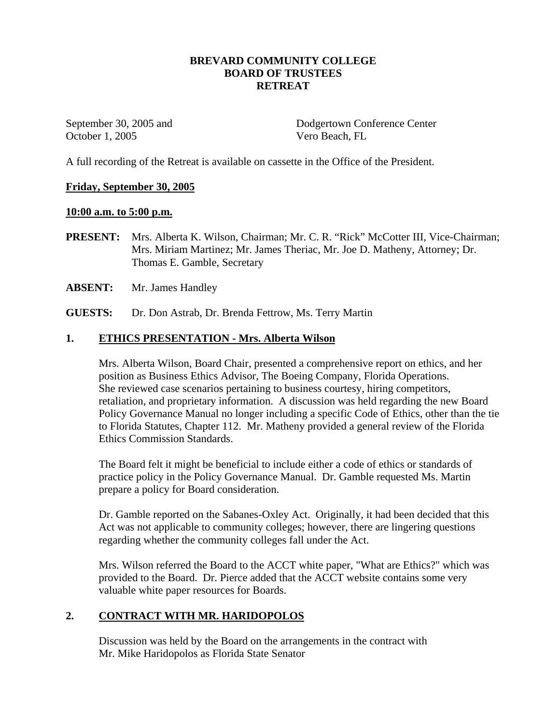### **BREVARD COMMUNITY COLLEGE BOARD OF TRUSTEES RETREAT**

October 1, 2005 Vero Beach, FL

September 30, 2005 and Dodgertown Conference Center

A full recording of the Retreat is available on cassette in the Office of the President.

#### **Friday, September 30, 2005**

#### **10:00 a.m. to 5:00 p.m.**

- **PRESENT:** Mrs. Alberta K. Wilson, Chairman; Mr. C. R. "Rick" McCotter III, Vice-Chairman; Mrs. Miriam Martinez; Mr. James Theriac, Mr. Joe D. Matheny, Attorney; Dr. Thomas E. Gamble, Secretary
- **ABSENT:** Mr. James Handley
- **GUESTS:** Dr. Don Astrab, Dr. Brenda Fettrow, Ms. Terry Martin

#### **1. ETHICS PRESENTATION - Mrs. Alberta Wilson**

Mrs. Alberta Wilson, Board Chair, presented a comprehensive report on ethics, and her position as Business Ethics Advisor, The Boeing Company, Florida Operations. She reviewed case scenarios pertaining to business courtesy, hiring competitors, retaliation, and proprietary information. A discussion was held regarding the new Board Policy Governance Manual no longer including a specific Code of Ethics, other than the tie to Florida Statutes, Chapter 112. Mr. Matheny provided a general review of the Florida Ethics Commission Standards.

The Board felt it might be beneficial to include either a code of ethics or standards of practice policy in the Policy Governance Manual. Dr. Gamble requested Ms. Martin prepare a policy for Board consideration.

Dr. Gamble reported on the Sabanes-Oxley Act. Originally, it had been decided that this Act was not applicable to community colleges; however, there are lingering questions regarding whether the community colleges fall under the Act.

Mrs. Wilson referred the Board to the ACCT white paper, "What are Ethics?" which was provided to the Board. Dr. Pierce added that the ACCT website contains some very valuable white paper resources for Boards.

### **2. CONTRACT WITH MR. HARIDOPOLOS**

Discussion was held by the Board on the arrangements in the contract with Mr. Mike Haridopolos as Florida State Senator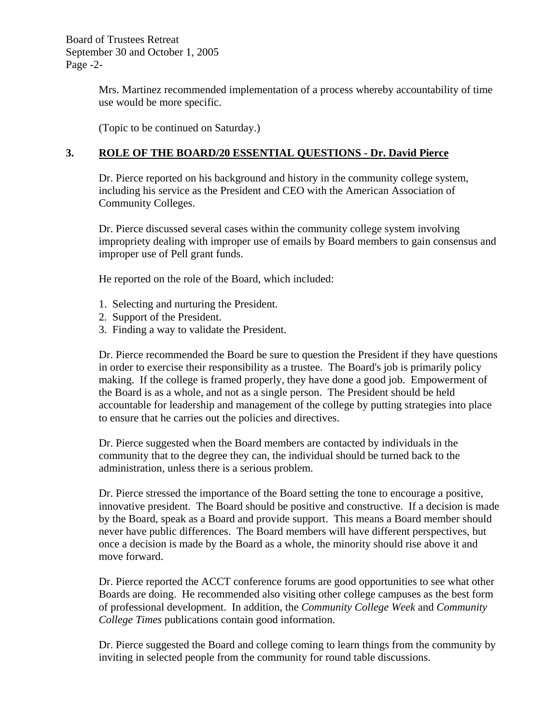Board of Trustees Retreat September 30 and October 1, 2005 Page -2-

> Mrs. Martinez recommended implementation of a process whereby accountability of time use would be more specific.

(Topic to be continued on Saturday.)

# **3. ROLE OF THE BOARD/20 ESSENTIAL QUESTIONS - Dr. David Pierce**

Dr. Pierce reported on his background and history in the community college system, including his service as the President and CEO with the American Association of Community Colleges.

Dr. Pierce discussed several cases within the community college system involving impropriety dealing with improper use of emails by Board members to gain consensus and improper use of Pell grant funds.

He reported on the role of the Board, which included:

- 1. Selecting and nurturing the President.
- 2. Support of the President.
- 3. Finding a way to validate the President.

Dr. Pierce recommended the Board be sure to question the President if they have questions in order to exercise their responsibility as a trustee. The Board's job is primarily policy making. If the college is framed properly, they have done a good job. Empowerment of the Board is as a whole, and not as a single person. The President should be held accountable for leadership and management of the college by putting strategies into place to ensure that he carries out the policies and directives.

Dr. Pierce suggested when the Board members are contacted by individuals in the community that to the degree they can, the individual should be turned back to the administration, unless there is a serious problem.

Dr. Pierce stressed the importance of the Board setting the tone to encourage a positive, innovative president. The Board should be positive and constructive. If a decision is made by the Board, speak as a Board and provide support. This means a Board member should never have public differences. The Board members will have different perspectives, but once a decision is made by the Board as a whole, the minority should rise above it and move forward.

Dr. Pierce reported the ACCT conference forums are good opportunities to see what other Boards are doing. He recommended also visiting other college campuses as the best form of professional development. In addition, the *Community College Week* and *Community College Times* publications contain good information.

Dr. Pierce suggested the Board and college coming to learn things from the community by inviting in selected people from the community for round table discussions.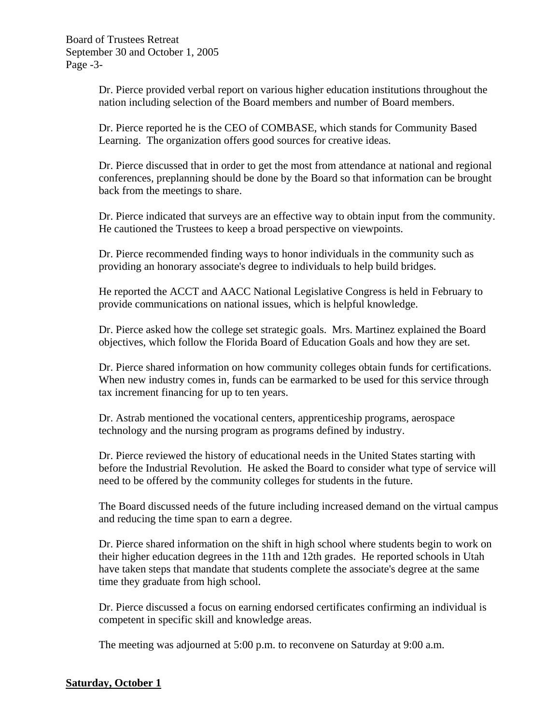Dr. Pierce provided verbal report on various higher education institutions throughout the nation including selection of the Board members and number of Board members.

Dr. Pierce reported he is the CEO of COMBASE, which stands for Community Based Learning. The organization offers good sources for creative ideas.

Dr. Pierce discussed that in order to get the most from attendance at national and regional conferences, preplanning should be done by the Board so that information can be brought back from the meetings to share.

Dr. Pierce indicated that surveys are an effective way to obtain input from the community. He cautioned the Trustees to keep a broad perspective on viewpoints.

Dr. Pierce recommended finding ways to honor individuals in the community such as providing an honorary associate's degree to individuals to help build bridges.

He reported the ACCT and AACC National Legislative Congress is held in February to provide communications on national issues, which is helpful knowledge.

Dr. Pierce asked how the college set strategic goals. Mrs. Martinez explained the Board objectives, which follow the Florida Board of Education Goals and how they are set.

Dr. Pierce shared information on how community colleges obtain funds for certifications. When new industry comes in, funds can be earmarked to be used for this service through tax increment financing for up to ten years.

Dr. Astrab mentioned the vocational centers, apprenticeship programs, aerospace technology and the nursing program as programs defined by industry.

Dr. Pierce reviewed the history of educational needs in the United States starting with before the Industrial Revolution. He asked the Board to consider what type of service will need to be offered by the community colleges for students in the future.

The Board discussed needs of the future including increased demand on the virtual campus and reducing the time span to earn a degree.

Dr. Pierce shared information on the shift in high school where students begin to work on their higher education degrees in the 11th and 12th grades. He reported schools in Utah have taken steps that mandate that students complete the associate's degree at the same time they graduate from high school.

Dr. Pierce discussed a focus on earning endorsed certificates confirming an individual is competent in specific skill and knowledge areas.

The meeting was adjourned at 5:00 p.m. to reconvene on Saturday at 9:00 a.m.

### **Saturday, October 1**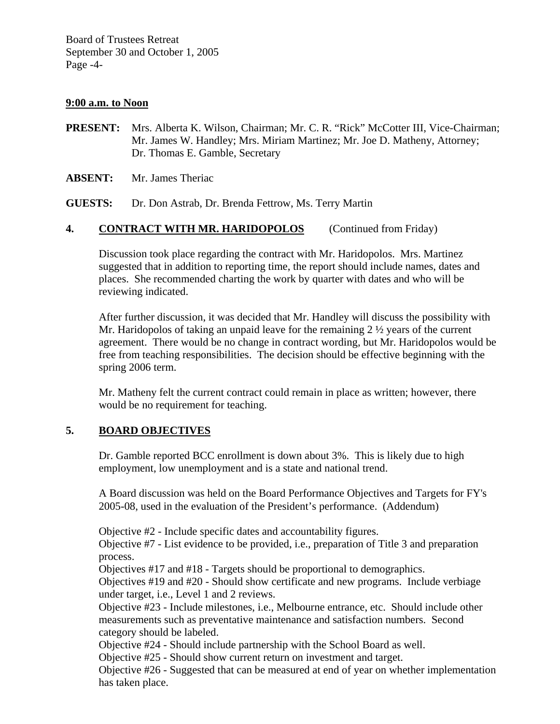#### **9:00 a.m. to Noon**

- **PRESENT:** Mrs. Alberta K. Wilson, Chairman; Mr. C. R. "Rick" McCotter III, Vice-Chairman; Mr. James W. Handley; Mrs. Miriam Martinez; Mr. Joe D. Matheny, Attorney; Dr. Thomas E. Gamble, Secretary
- **ABSENT:** Mr. James Theriac

**GUESTS:** Dr. Don Astrab, Dr. Brenda Fettrow, Ms. Terry Martin

# **4. CONTRACT WITH MR. HARIDOPOLOS** (Continued from Friday)

Discussion took place regarding the contract with Mr. Haridopolos. Mrs. Martinez suggested that in addition to reporting time, the report should include names, dates and places. She recommended charting the work by quarter with dates and who will be reviewing indicated.

After further discussion, it was decided that Mr. Handley will discuss the possibility with Mr. Haridopolos of taking an unpaid leave for the remaining  $2 \frac{1}{2}$  years of the current agreement. There would be no change in contract wording, but Mr. Haridopolos would be free from teaching responsibilities. The decision should be effective beginning with the spring 2006 term.

Mr. Matheny felt the current contract could remain in place as written; however, there would be no requirement for teaching.

### **5. BOARD OBJECTIVES**

Dr. Gamble reported BCC enrollment is down about 3%. This is likely due to high employment, low unemployment and is a state and national trend.

A Board discussion was held on the Board Performance Objectives and Targets for FY's 2005-08, used in the evaluation of the President's performance. (Addendum)

Objective #2 - Include specific dates and accountability figures.

Objective #7 - List evidence to be provided, i.e., preparation of Title 3 and preparation process.

Objectives #17 and #18 - Targets should be proportional to demographics.

Objectives #19 and #20 - Should show certificate and new programs. Include verbiage under target, i.e., Level 1 and 2 reviews.

Objective #23 - Include milestones, i.e., Melbourne entrance, etc. Should include other measurements such as preventative maintenance and satisfaction numbers. Second category should be labeled.

Objective #24 - Should include partnership with the School Board as well.

Objective #25 - Should show current return on investment and target.

Objective #26 - Suggested that can be measured at end of year on whether implementation has taken place.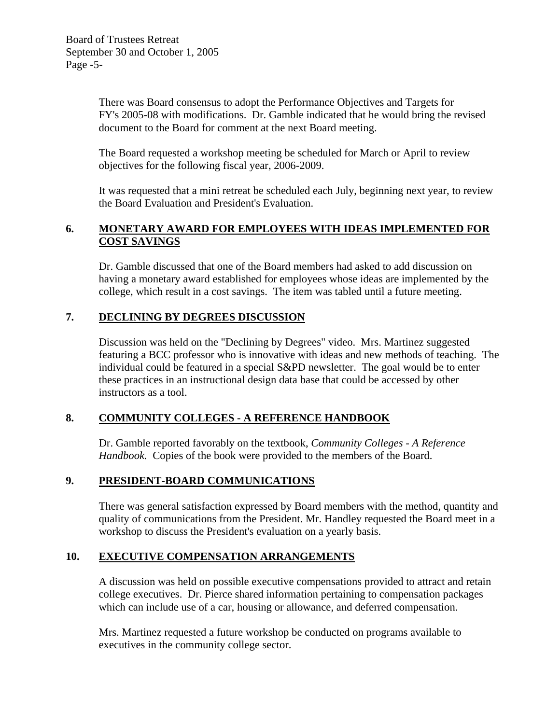There was Board consensus to adopt the Performance Objectives and Targets for FY's 2005-08 with modifications. Dr. Gamble indicated that he would bring the revised document to the Board for comment at the next Board meeting.

The Board requested a workshop meeting be scheduled for March or April to review objectives for the following fiscal year, 2006-2009.

It was requested that a mini retreat be scheduled each July, beginning next year, to review the Board Evaluation and President's Evaluation.

# **6. MONETARY AWARD FOR EMPLOYEES WITH IDEAS IMPLEMENTED FOR COST SAVINGS**

Dr. Gamble discussed that one of the Board members had asked to add discussion on having a monetary award established for employees whose ideas are implemented by the college, which result in a cost savings. The item was tabled until a future meeting.

# **7. DECLINING BY DEGREES DISCUSSION**

Discussion was held on the "Declining by Degrees" video. Mrs. Martinez suggested featuring a BCC professor who is innovative with ideas and new methods of teaching. The individual could be featured in a special S&PD newsletter. The goal would be to enter these practices in an instructional design data base that could be accessed by other instructors as a tool.

# **8. COMMUNITY COLLEGES - A REFERENCE HANDBOOK**

Dr. Gamble reported favorably on the textbook, *Community Colleges - A Reference Handbook.* Copies of the book were provided to the members of the Board.

### **9. PRESIDENT-BOARD COMMUNICATIONS**

There was general satisfaction expressed by Board members with the method, quantity and quality of communications from the President. Mr. Handley requested the Board meet in a workshop to discuss the President's evaluation on a yearly basis.

### **10. EXECUTIVE COMPENSATION ARRANGEMENTS**

A discussion was held on possible executive compensations provided to attract and retain college executives. Dr. Pierce shared information pertaining to compensation packages which can include use of a car, housing or allowance, and deferred compensation.

Mrs. Martinez requested a future workshop be conducted on programs available to executives in the community college sector.